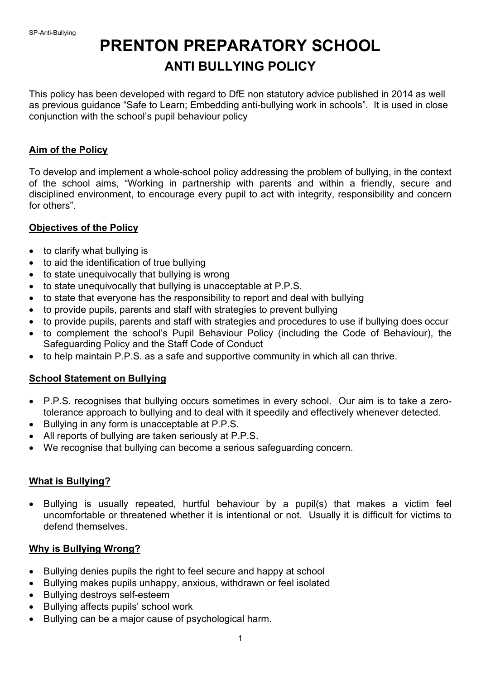# **PRENTON PREPARATORY SCHOOL ANTI BULLYING POLICY**

This policy has been developed with regard to DfE non statutory advice published in 2014 as well as previous guidance "Safe to Learn; Embedding anti-bullying work in schools". It is used in close conjunction with the school's pupil behaviour policy

#### **Aim of the Policy**

To develop and implement a whole-school policy addressing the problem of bullying, in the context of the school aims, "Working in partnership with parents and within a friendly, secure and disciplined environment, to encourage every pupil to act with integrity, responsibility and concern for others".

#### **Objectives of the Policy**

- to clarify what bullying is
- to aid the identification of true bullying
- to state unequivocally that bullying is wrong
- to state unequivocally that bullying is unacceptable at P.P.S.
- to state that everyone has the responsibility to report and deal with bullying
- to provide pupils, parents and staff with strategies to prevent bullying
- to provide pupils, parents and staff with strategies and procedures to use if bullying does occur
- to complement the school's Pupil Behaviour Policy (including the Code of Behaviour), the Safeguarding Policy and the Staff Code of Conduct
- to help maintain P.P.S. as a safe and supportive community in which all can thrive.

# **School Statement on Bullying**

- P.P.S. recognises that bullying occurs sometimes in every school. Our aim is to take a zerotolerance approach to bullying and to deal with it speedily and effectively whenever detected.
- Bullying in any form is unacceptable at P.P.S.
- All reports of bullying are taken seriously at P.P.S.
- We recognise that bullying can become a serious safeguarding concern.

# **What is Bullying?**

• Bullying is usually repeated, hurtful behaviour by a pupil(s) that makes a victim feel uncomfortable or threatened whether it is intentional or not. Usually it is difficult for victims to defend themselves.

#### **Why is Bullying Wrong?**

- Bullying denies pupils the right to feel secure and happy at school
- Bullying makes pupils unhappy, anxious, withdrawn or feel isolated
- Bullying destroys self-esteem
- Bullying affects pupils' school work
- Bullying can be a major cause of psychological harm.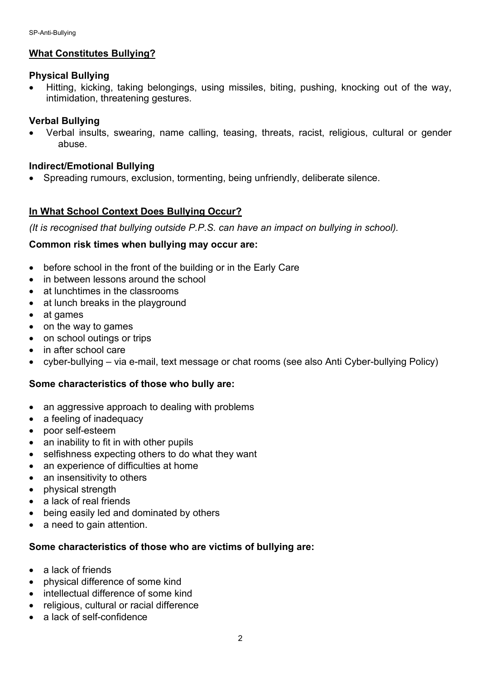# **What Constitutes Bullying?**

#### **Physical Bullying**

• Hitting, kicking, taking belongings, using missiles, biting, pushing, knocking out of the way, intimidation, threatening gestures.

#### **Verbal Bullying**

• Verbal insults, swearing, name calling, teasing, threats, racist, religious, cultural or gender abuse.

#### **Indirect/Emotional Bullying**

• Spreading rumours, exclusion, tormenting, being unfriendly, deliberate silence.

# **In What School Context Does Bullying Occur?**

*(It is recognised that bullying outside P.P.S. can have an impact on bullying in school).*

#### **Common risk times when bullying may occur are:**

- before school in the front of the building or in the Early Care
- in between lessons around the school
- at lunchtimes in the classrooms
- at lunch breaks in the playground
- at games
- on the way to games
- on school outings or trips
- in after school care
- cyber-bullying via e-mail, text message or chat rooms (see also Anti Cyber-bullying Policy)

# **Some characteristics of those who bully are:**

- an aggressive approach to dealing with problems
- a feeling of inadequacy
- poor self-esteem
- an inability to fit in with other pupils
- selfishness expecting others to do what they want
- an experience of difficulties at home
- an insensitivity to others
- physical strength
- a lack of real friends
- being easily led and dominated by others
- a need to gain attention.

# **Some characteristics of those who are victims of bullying are:**

- a lack of friends
- physical difference of some kind
- intellectual difference of some kind
- religious, cultural or racial difference
- a lack of self-confidence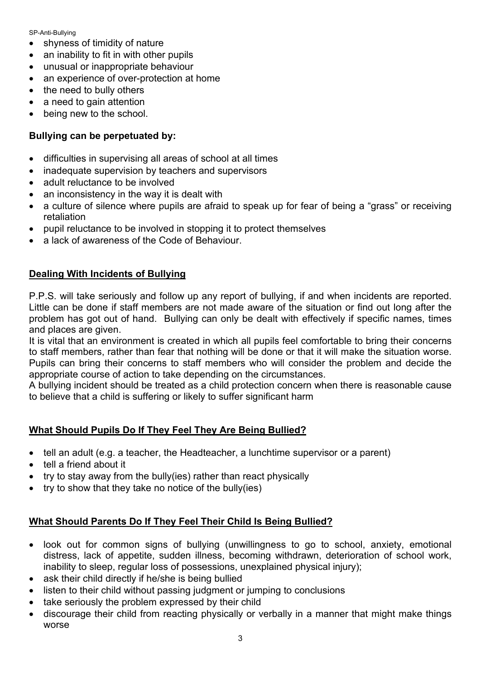SP-Anti-Bullying

- shyness of timidity of nature
- an inability to fit in with other pupils
- unusual or inappropriate behaviour
- an experience of over-protection at home
- the need to bully others
- a need to gain attention
- being new to the school.

# **Bullying can be perpetuated by:**

- difficulties in supervising all areas of school at all times
- inadequate supervision by teachers and supervisors
- adult reluctance to be involved
- an inconsistency in the way it is dealt with
- a culture of silence where pupils are afraid to speak up for fear of being a "grass" or receiving retaliation
- pupil reluctance to be involved in stopping it to protect themselves
- a lack of awareness of the Code of Behaviour.

# **Dealing With Incidents of Bullying**

P.P.S. will take seriously and follow up any report of bullying, if and when incidents are reported. Little can be done if staff members are not made aware of the situation or find out long after the problem has got out of hand. Bullying can only be dealt with effectively if specific names, times and places are given.

It is vital that an environment is created in which all pupils feel comfortable to bring their concerns to staff members, rather than fear that nothing will be done or that it will make the situation worse. Pupils can bring their concerns to staff members who will consider the problem and decide the appropriate course of action to take depending on the circumstances.

A bullying incident should be treated as a child protection concern when there is reasonable cause to believe that a child is suffering or likely to suffer significant harm

# **What Should Pupils Do If They Feel They Are Being Bullied?**

- tell an adult (e.g. a teacher, the Headteacher, a lunchtime supervisor or a parent)
- tell a friend about it
- try to stay away from the bully(ies) rather than react physically
- try to show that they take no notice of the bully(ies)

# **What Should Parents Do If They Feel Their Child Is Being Bullied?**

- look out for common signs of bullying (unwillingness to go to school, anxiety, emotional distress, lack of appetite, sudden illness, becoming withdrawn, deterioration of school work, inability to sleep, regular loss of possessions, unexplained physical injury);
- ask their child directly if he/she is being bullied
- listen to their child without passing judgment or jumping to conclusions
- take seriously the problem expressed by their child
- discourage their child from reacting physically or verbally in a manner that might make things worse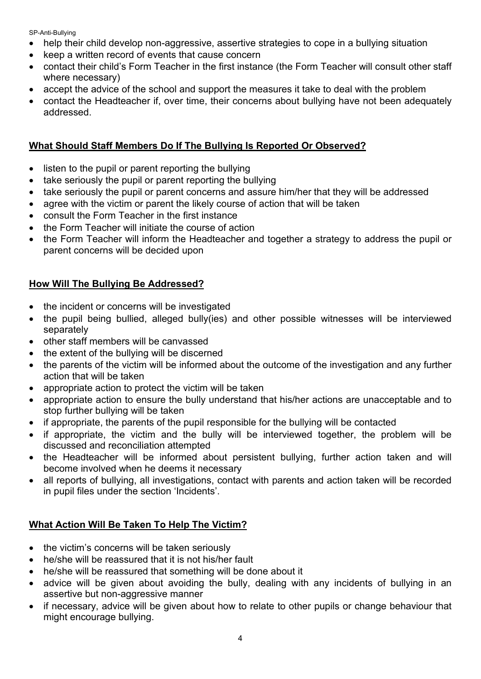SP-Anti-Bullying

- help their child develop non-aggressive, assertive strategies to cope in a bullying situation
- keep a written record of events that cause concern
- contact their child's Form Teacher in the first instance (the Form Teacher will consult other staff where necessary)
- accept the advice of the school and support the measures it take to deal with the problem
- contact the Headteacher if, over time, their concerns about bullying have not been adequately addressed.

# **What Should Staff Members Do If The Bullying Is Reported Or Observed?**

- listen to the pupil or parent reporting the bullying
- take seriously the pupil or parent reporting the bullying
- take seriously the pupil or parent concerns and assure him/her that they will be addressed
- agree with the victim or parent the likely course of action that will be taken
- consult the Form Teacher in the first instance
- the Form Teacher will initiate the course of action
- the Form Teacher will inform the Headteacher and together a strategy to address the pupil or parent concerns will be decided upon

# **How Will The Bullying Be Addressed?**

- the incident or concerns will be investigated
- the pupil being bullied, alleged bully(ies) and other possible witnesses will be interviewed separately
- other staff members will be canvassed
- the extent of the bullying will be discerned
- the parents of the victim will be informed about the outcome of the investigation and any further action that will be taken
- appropriate action to protect the victim will be taken
- appropriate action to ensure the bully understand that his/her actions are unacceptable and to stop further bullying will be taken
- if appropriate, the parents of the pupil responsible for the bullying will be contacted
- if appropriate, the victim and the bully will be interviewed together, the problem will be discussed and reconciliation attempted
- the Headteacher will be informed about persistent bullying, further action taken and will become involved when he deems it necessary
- all reports of bullying, all investigations, contact with parents and action taken will be recorded in pupil files under the section 'Incidents'.

# **What Action Will Be Taken To Help The Victim?**

- the victim's concerns will be taken seriously
- he/she will be reassured that it is not his/her fault
- he/she will be reassured that something will be done about it
- advice will be given about avoiding the bully, dealing with any incidents of bullying in an assertive but non-aggressive manner
- if necessary, advice will be given about how to relate to other pupils or change behaviour that might encourage bullying.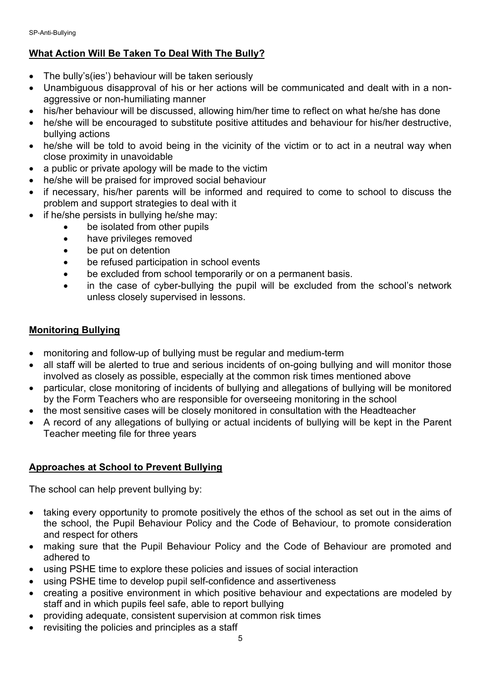# **What Action Will Be Taken To Deal With The Bully?**

- The bully's(ies') behaviour will be taken seriously
- Unambiguous disapproval of his or her actions will be communicated and dealt with in a nonaggressive or non-humiliating manner
- his/her behaviour will be discussed, allowing him/her time to reflect on what he/she has done
- he/she will be encouraged to substitute positive attitudes and behaviour for his/her destructive, bullying actions
- he/she will be told to avoid being in the vicinity of the victim or to act in a neutral way when close proximity in unavoidable
- a public or private apology will be made to the victim
- he/she will be praised for improved social behaviour
- if necessary, his/her parents will be informed and required to come to school to discuss the problem and support strategies to deal with it
- if he/she persists in bullying he/she may:
	- be isolated from other pupils
	- have privileges removed
	- be put on detention
	- be refused participation in school events
	- be excluded from school temporarily or on a permanent basis.
	- in the case of cyber-bullying the pupil will be excluded from the school's network unless closely supervised in lessons.

# **Monitoring Bullying**

- monitoring and follow-up of bullying must be regular and medium-term
- all staff will be alerted to true and serious incidents of on-going bullying and will monitor those involved as closely as possible, especially at the common risk times mentioned above
- particular, close monitoring of incidents of bullying and allegations of bullying will be monitored by the Form Teachers who are responsible for overseeing monitoring in the school
- the most sensitive cases will be closely monitored in consultation with the Headteacher
- A record of any allegations of bullying or actual incidents of bullying will be kept in the Parent Teacher meeting file for three years

# **Approaches at School to Prevent Bullying**

The school can help prevent bullying by:

- taking every opportunity to promote positively the ethos of the school as set out in the aims of the school, the Pupil Behaviour Policy and the Code of Behaviour, to promote consideration and respect for others
- making sure that the Pupil Behaviour Policy and the Code of Behaviour are promoted and adhered to
- using PSHE time to explore these policies and issues of social interaction
- using PSHE time to develop pupil self-confidence and assertiveness
- creating a positive environment in which positive behaviour and expectations are modeled by staff and in which pupils feel safe, able to report bullying
- providing adequate, consistent supervision at common risk times
- revisiting the policies and principles as a staff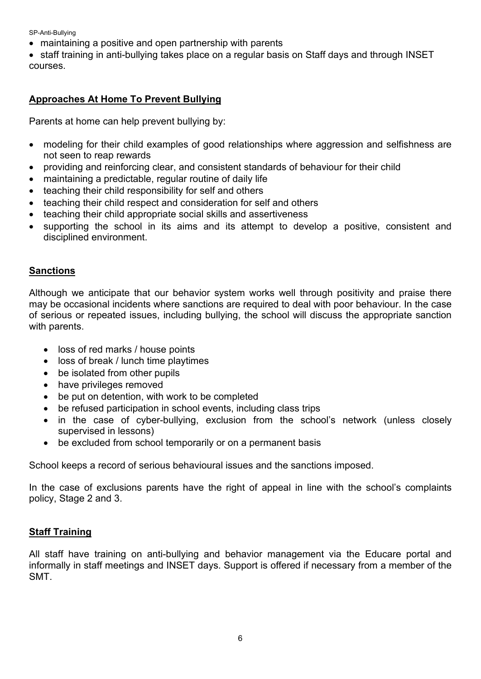SP-Anti-Bullying

• maintaining a positive and open partnership with parents

• staff training in anti-bullying takes place on a regular basis on Staff days and through INSET courses.

# **Approaches At Home To Prevent Bullying**

Parents at home can help prevent bullying by:

- modeling for their child examples of good relationships where aggression and selfishness are not seen to reap rewards
- providing and reinforcing clear, and consistent standards of behaviour for their child
- maintaining a predictable, regular routine of daily life
- teaching their child responsibility for self and others
- teaching their child respect and consideration for self and others
- teaching their child appropriate social skills and assertiveness
- supporting the school in its aims and its attempt to develop a positive, consistent and disciplined environment.

#### **Sanctions**

Although we anticipate that our behavior system works well through positivity and praise there may be occasional incidents where sanctions are required to deal with poor behaviour. In the case of serious or repeated issues, including bullying, the school will discuss the appropriate sanction with parents.

- loss of red marks / house points
- loss of break / lunch time playtimes
- be isolated from other pupils
- have privileges removed
- be put on detention, with work to be completed
- be refused participation in school events, including class trips
- in the case of cyber-bullying, exclusion from the school's network (unless closely supervised in lessons)
- be excluded from school temporarily or on a permanent basis

School keeps a record of serious behavioural issues and the sanctions imposed.

In the case of exclusions parents have the right of appeal in line with the school's complaints policy, Stage 2 and 3.

#### **Staff Training**

All staff have training on anti-bullying and behavior management via the Educare portal and informally in staff meetings and INSET days. Support is offered if necessary from a member of the SMT.